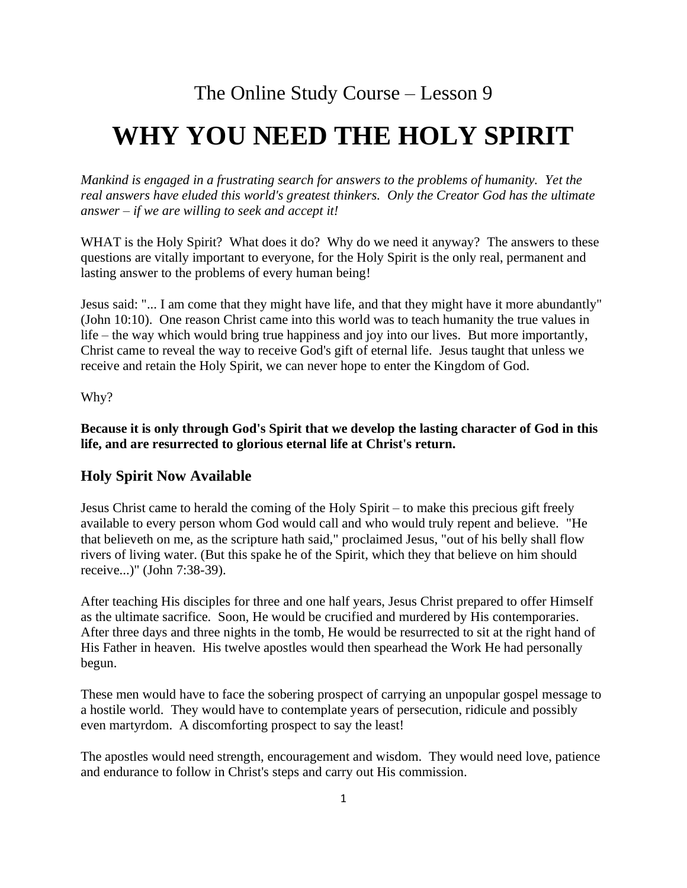# The Online Study Course – Lesson 9

# **WHY YOU NEED THE HOLY SPIRIT**

*Mankind is engaged in a frustrating search for answers to the problems of humanity. Yet the real answers have eluded this world's greatest thinkers. Only the Creator God has the ultimate answer* ‒ *if we are willing to seek and accept it!*

WHAT is the Holy Spirit? What does it do? Why do we need it anyway? The answers to these questions are vitally important to everyone, for the Holy Spirit is the only real, permanent and lasting answer to the problems of every human being!

Jesus said: "... I am come that they might have life, and that they might have it more abundantly" (John 10:10). One reason Christ came into this world was to teach humanity the true values in life – the way which would bring true happiness and joy into our lives. But more importantly, Christ came to reveal the way to receive God's gift of eternal life. Jesus taught that unless we receive and retain the Holy Spirit, we can never hope to enter the Kingdom of God.

Why?

**Because it is only through God's Spirit that we develop the lasting character of God in this life, and are resurrected to glorious eternal life at Christ's return.**

#### **Holy Spirit Now Available**

Jesus Christ came to herald the coming of the Holy Spirit – to make this precious gift freely available to every person whom God would call and who would truly repent and believe. "He that believeth on me, as the scripture hath said," proclaimed Jesus, "out of his belly shall flow rivers of living water. (But this spake he of the Spirit, which they that believe on him should receive...)" (John 7:38-39).

After teaching His disciples for three and one half years, Jesus Christ prepared to offer Himself as the ultimate sacrifice. Soon, He would be crucified and murdered by His contemporaries. After three days and three nights in the tomb, He would be resurrected to sit at the right hand of His Father in heaven. His twelve apostles would then spearhead the Work He had personally begun.

These men would have to face the sobering prospect of carrying an unpopular gospel message to a hostile world. They would have to contemplate years of persecution, ridicule and possibly even martyrdom. A discomforting prospect to say the least!

The apostles would need strength, encouragement and wisdom. They would need love, patience and endurance to follow in Christ's steps and carry out His commission.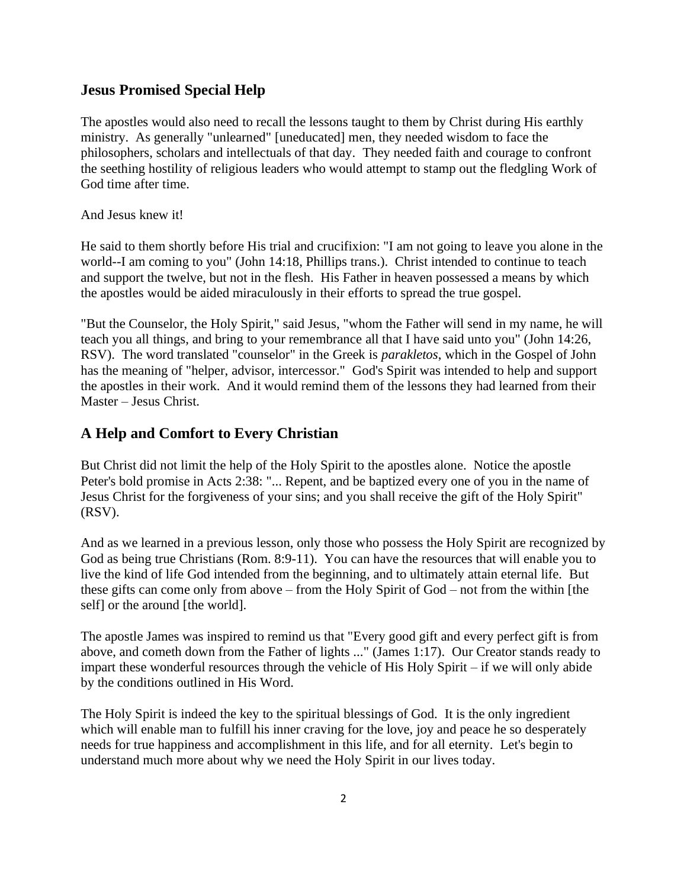## **Jesus Promised Special Help**

The apostles would also need to recall the lessons taught to them by Christ during His earthly ministry. As generally "unlearned" [uneducated] men, they needed wisdom to face the philosophers, scholars and intellectuals of that day. They needed faith and courage to confront the seething hostility of religious leaders who would attempt to stamp out the fledgling Work of God time after time.

And Jesus knew it!

He said to them shortly before His trial and crucifixion: "I am not going to leave you alone in the world--I am coming to you" (John 14:18, Phillips trans.). Christ intended to continue to teach and support the twelve, but not in the flesh. His Father in heaven possessed a means by which the apostles would be aided miraculously in their efforts to spread the true gospel.

"But the Counselor, the Holy Spirit," said Jesus, "whom the Father will send in my name, he will teach you all things, and bring to your remembrance all that I have said unto you" (John 14:26, RSV). The word translated "counselor" in the Greek is *parakletos*, which in the Gospel of John has the meaning of "helper, advisor, intercessor." God's Spirit was intended to help and support the apostles in their work. And it would remind them of the lessons they had learned from their Master ‒ Jesus Christ.

## **A Help and Comfort to Every Christian**

But Christ did not limit the help of the Holy Spirit to the apostles alone. Notice the apostle Peter's bold promise in Acts 2:38: "... Repent, and be baptized every one of you in the name of Jesus Christ for the forgiveness of your sins; and you shall receive the gift of the Holy Spirit" (RSV).

And as we learned in a previous lesson, only those who possess the Holy Spirit are recognized by God as being true Christians (Rom. 8:9-11). You can have the resources that will enable you to live the kind of life God intended from the beginning, and to ultimately attain eternal life. But these gifts can come only from above  $-$  from the Holy Spirit of God  $-$  not from the within [the self] or the around [the world].

The apostle James was inspired to remind us that "Every good gift and every perfect gift is from above, and cometh down from the Father of lights ..." (James 1:17). Our Creator stands ready to impart these wonderful resources through the vehicle of His Holy Spirit – if we will only abide by the conditions outlined in His Word.

The Holy Spirit is indeed the key to the spiritual blessings of God. It is the only ingredient which will enable man to fulfill his inner craving for the love, joy and peace he so desperately needs for true happiness and accomplishment in this life, and for all eternity. Let's begin to understand much more about why we need the Holy Spirit in our lives today.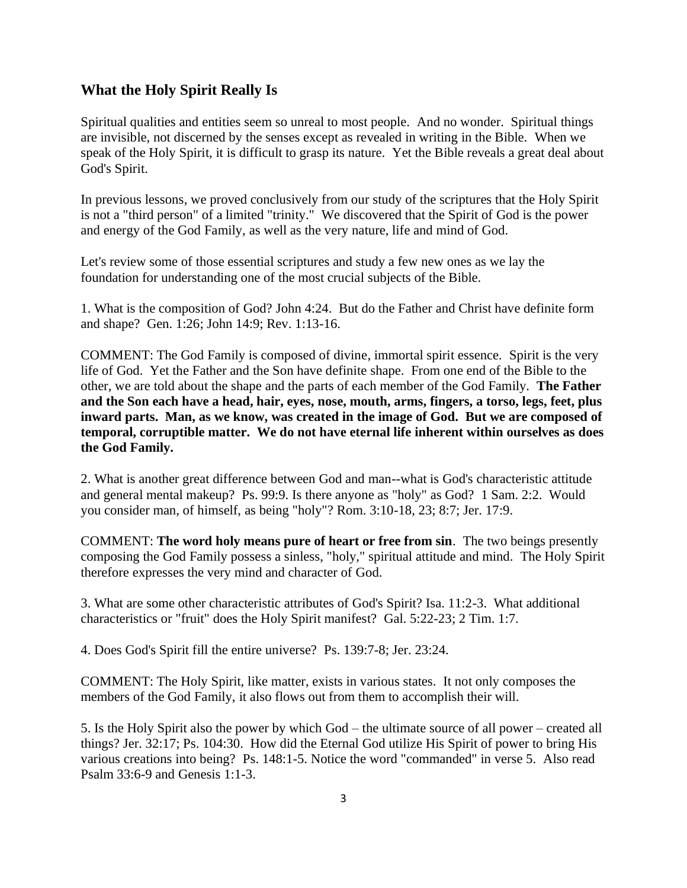# **What the Holy Spirit Really Is**

Spiritual qualities and entities seem so unreal to most people. And no wonder. Spiritual things are invisible, not discerned by the senses except as revealed in writing in the Bible. When we speak of the Holy Spirit, it is difficult to grasp its nature. Yet the Bible reveals a great deal about God's Spirit.

In previous lessons, we proved conclusively from our study of the scriptures that the Holy Spirit is not a "third person" of a limited "trinity." We discovered that the Spirit of God is the power and energy of the God Family, as well as the very nature, life and mind of God.

Let's review some of those essential scriptures and study a few new ones as we lay the foundation for understanding one of the most crucial subjects of the Bible.

1. What is the composition of God? John 4:24. But do the Father and Christ have definite form and shape? Gen. 1:26; John 14:9; Rev. 1:13-16.

COMMENT: The God Family is composed of divine, immortal spirit essence. Spirit is the very life of God. Yet the Father and the Son have definite shape. From one end of the Bible to the other, we are told about the shape and the parts of each member of the God Family. **The Father and the Son each have a head, hair, eyes, nose, mouth, arms, fingers, a torso, legs, feet, plus inward parts. Man, as we know, was created in the image of God. But we are composed of temporal, corruptible matter. We do not have eternal life inherent within ourselves as does the God Family.**

2. What is another great difference between God and man--what is God's characteristic attitude and general mental makeup? Ps. 99:9. Is there anyone as "holy" as God? 1 Sam. 2:2. Would you consider man, of himself, as being "holy"? Rom. 3:10-18, 23; 8:7; Jer. 17:9.

COMMENT: **The word holy means pure of heart or free from sin**. The two beings presently composing the God Family possess a sinless, "holy," spiritual attitude and mind. The Holy Spirit therefore expresses the very mind and character of God.

3. What are some other characteristic attributes of God's Spirit? Isa. 11:2-3. What additional characteristics or "fruit" does the Holy Spirit manifest? Gal. 5:22-23; 2 Tim. 1:7.

4. Does God's Spirit fill the entire universe? Ps. 139:7-8; Jer. 23:24.

COMMENT: The Holy Spirit, like matter, exists in various states. It not only composes the members of the God Family, it also flows out from them to accomplish their will.

5. Is the Holy Spirit also the power by which God – the ultimate source of all power – created all things? Jer. 32:17; Ps. 104:30. How did the Eternal God utilize His Spirit of power to bring His various creations into being? Ps. 148:1-5. Notice the word "commanded" in verse 5. Also read Psalm 33:6-9 and Genesis 1:1-3.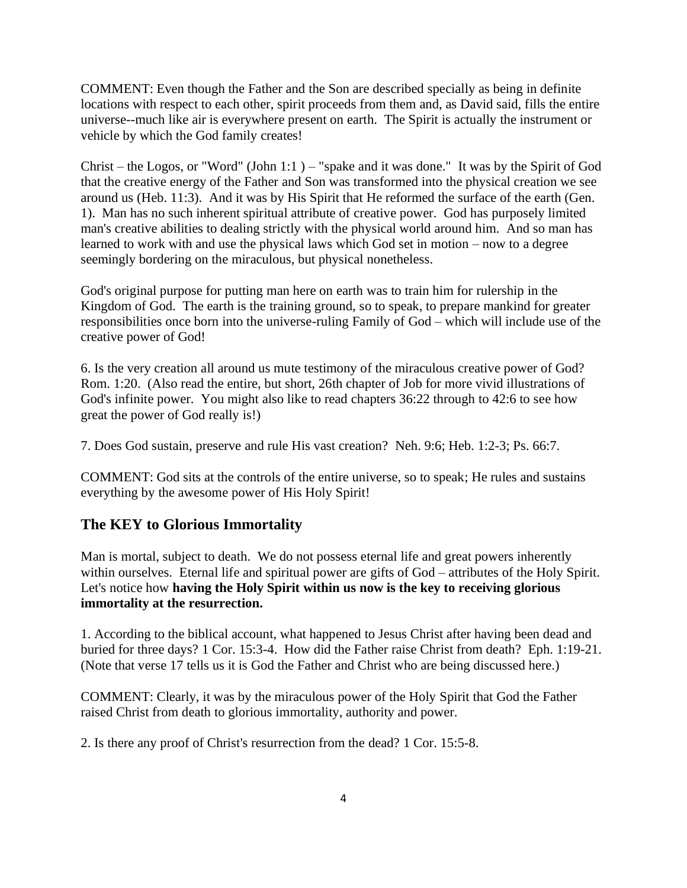COMMENT: Even though the Father and the Son are described specially as being in definite locations with respect to each other, spirit proceeds from them and, as David said, fills the entire universe--much like air is everywhere present on earth. The Spirit is actually the instrument or vehicle by which the God family creates!

Christ – the Logos, or "Word" (John 1:1) – "spake and it was done." It was by the Spirit of God that the creative energy of the Father and Son was transformed into the physical creation we see around us (Heb. 11:3). And it was by His Spirit that He reformed the surface of the earth (Gen. 1). Man has no such inherent spiritual attribute of creative power. God has purposely limited man's creative abilities to dealing strictly with the physical world around him. And so man has learned to work with and use the physical laws which God set in motion  $-$  now to a degree seemingly bordering on the miraculous, but physical nonetheless.

God's original purpose for putting man here on earth was to train him for rulership in the Kingdom of God. The earth is the training ground, so to speak, to prepare mankind for greater responsibilities once born into the universe-ruling Family of God – which will include use of the creative power of God!

6. Is the very creation all around us mute testimony of the miraculous creative power of God? Rom. 1:20. (Also read the entire, but short, 26th chapter of Job for more vivid illustrations of God's infinite power. You might also like to read chapters 36:22 through to 42:6 to see how great the power of God really is!)

7. Does God sustain, preserve and rule His vast creation? Neh. 9:6; Heb. 1:2-3; Ps. 66:7.

COMMENT: God sits at the controls of the entire universe, so to speak; He rules and sustains everything by the awesome power of His Holy Spirit!

# **The KEY to Glorious Immortality**

Man is mortal, subject to death. We do not possess eternal life and great powers inherently within ourselves. Eternal life and spiritual power are gifts of God – attributes of the Holy Spirit. Let's notice how **having the Holy Spirit within us now is the key to receiving glorious immortality at the resurrection.**

1. According to the biblical account, what happened to Jesus Christ after having been dead and buried for three days? 1 Cor. 15:3-4. How did the Father raise Christ from death? Eph. 1:19-21. (Note that verse 17 tells us it is God the Father and Christ who are being discussed here.)

COMMENT: Clearly, it was by the miraculous power of the Holy Spirit that God the Father raised Christ from death to glorious immortality, authority and power.

2. Is there any proof of Christ's resurrection from the dead? 1 Cor. 15:5-8.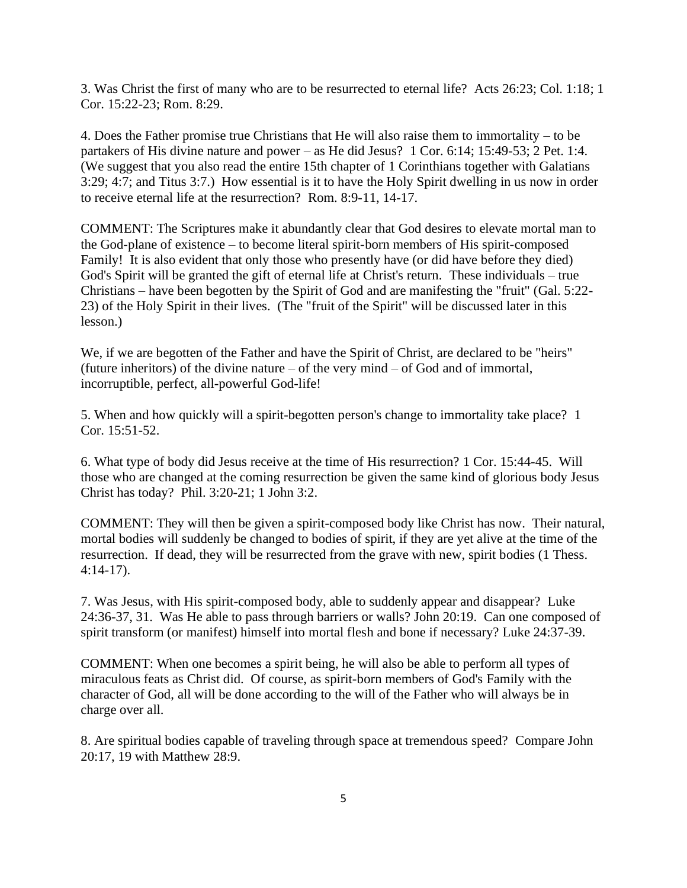3. Was Christ the first of many who are to be resurrected to eternal life? Acts 26:23; Col. 1:18; 1 Cor. 15:22-23; Rom. 8:29.

4. Does the Father promise true Christians that He will also raise them to immortality  $-$  to be partakers of His divine nature and power  $-$  as He did Jesus? 1 Cor. 6:14; 15:49-53; 2 Pet. 1:4. (We suggest that you also read the entire 15th chapter of 1 Corinthians together with Galatians 3:29; 4:7; and Titus 3:7.) How essential is it to have the Holy Spirit dwelling in us now in order to receive eternal life at the resurrection? Rom. 8:9-11, 14-17.

COMMENT: The Scriptures make it abundantly clear that God desires to elevate mortal man to the God-plane of existence – to become literal spirit-born members of His spirit-composed Family! It is also evident that only those who presently have (or did have before they died) God's Spirit will be granted the gift of eternal life at Christ's return. These individuals – true Christians – have been begotten by the Spirit of God and are manifesting the "fruit" (Gal. 5:22-23) of the Holy Spirit in their lives. (The "fruit of the Spirit" will be discussed later in this lesson.)

We, if we are begotten of the Father and have the Spirit of Christ, are declared to be "heirs" (future inheritors) of the divine nature  $-$  of the very mind  $-$  of God and of immortal, incorruptible, perfect, all-powerful God-life!

5. When and how quickly will a spirit-begotten person's change to immortality take place? 1 Cor. 15:51-52.

6. What type of body did Jesus receive at the time of His resurrection? 1 Cor. 15:44-45. Will those who are changed at the coming resurrection be given the same kind of glorious body Jesus Christ has today? Phil. 3:20-21; 1 John 3:2.

COMMENT: They will then be given a spirit-composed body like Christ has now. Their natural, mortal bodies will suddenly be changed to bodies of spirit, if they are yet alive at the time of the resurrection. If dead, they will be resurrected from the grave with new, spirit bodies (1 Thess. 4:14-17).

7. Was Jesus, with His spirit-composed body, able to suddenly appear and disappear? Luke 24:36-37, 31. Was He able to pass through barriers or walls? John 20:19. Can one composed of spirit transform (or manifest) himself into mortal flesh and bone if necessary? Luke 24:37-39.

COMMENT: When one becomes a spirit being, he will also be able to perform all types of miraculous feats as Christ did. Of course, as spirit-born members of God's Family with the character of God, all will be done according to the will of the Father who will always be in charge over all.

8. Are spiritual bodies capable of traveling through space at tremendous speed? Compare John 20:17, 19 with Matthew 28:9.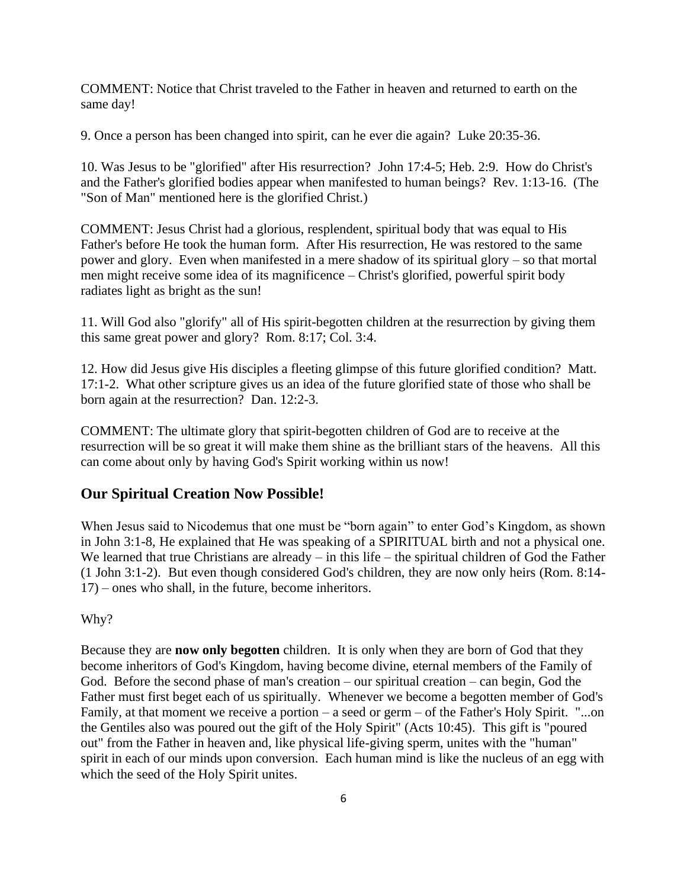COMMENT: Notice that Christ traveled to the Father in heaven and returned to earth on the same day!

9. Once a person has been changed into spirit, can he ever die again? Luke 20:35-36.

10. Was Jesus to be "glorified" after His resurrection? John 17:4-5; Heb. 2:9. How do Christ's and the Father's glorified bodies appear when manifested to human beings? Rev. 1:13-16. (The "Son of Man" mentioned here is the glorified Christ.)

COMMENT: Jesus Christ had a glorious, resplendent, spiritual body that was equal to His Father's before He took the human form. After His resurrection, He was restored to the same power and glory. Even when manifested in a mere shadow of its spiritual glory  $-$  so that mortal men might receive some idea of its magnificence – Christ's glorified, powerful spirit body radiates light as bright as the sun!

11. Will God also "glorify" all of His spirit-begotten children at the resurrection by giving them this same great power and glory? Rom. 8:17; Col. 3:4.

12. How did Jesus give His disciples a fleeting glimpse of this future glorified condition? Matt. 17:1-2. What other scripture gives us an idea of the future glorified state of those who shall be born again at the resurrection? Dan. 12:2-3.

COMMENT: The ultimate glory that spirit-begotten children of God are to receive at the resurrection will be so great it will make them shine as the brilliant stars of the heavens. All this can come about only by having God's Spirit working within us now!

#### **Our Spiritual Creation Now Possible!**

When Jesus said to Nicodemus that one must be "born again" to enter God's Kingdom, as shown in John 3:1-8, He explained that He was speaking of a SPIRITUAL birth and not a physical one. We learned that true Christians are already  $-$  in this life  $-$  the spiritual children of God the Father (1 John 3:1-2). But even though considered God's children, they are now only heirs (Rom. 8:14-  $17$ ) – ones who shall, in the future, become inheritors.

Why?

Because they are **now only begotten** children. It is only when they are born of God that they become inheritors of God's Kingdom, having become divine, eternal members of the Family of God. Before the second phase of man's creation  $-$  our spiritual creation  $-$  can begin, God the Father must first beget each of us spiritually. Whenever we become a begotten member of God's Family, at that moment we receive a portion  $-$  a seed or germ  $-$  of the Father's Holy Spirit. "...on the Gentiles also was poured out the gift of the Holy Spirit" (Acts 10:45). This gift is "poured out" from the Father in heaven and, like physical life-giving sperm, unites with the "human" spirit in each of our minds upon conversion. Each human mind is like the nucleus of an egg with which the seed of the Holy Spirit unites.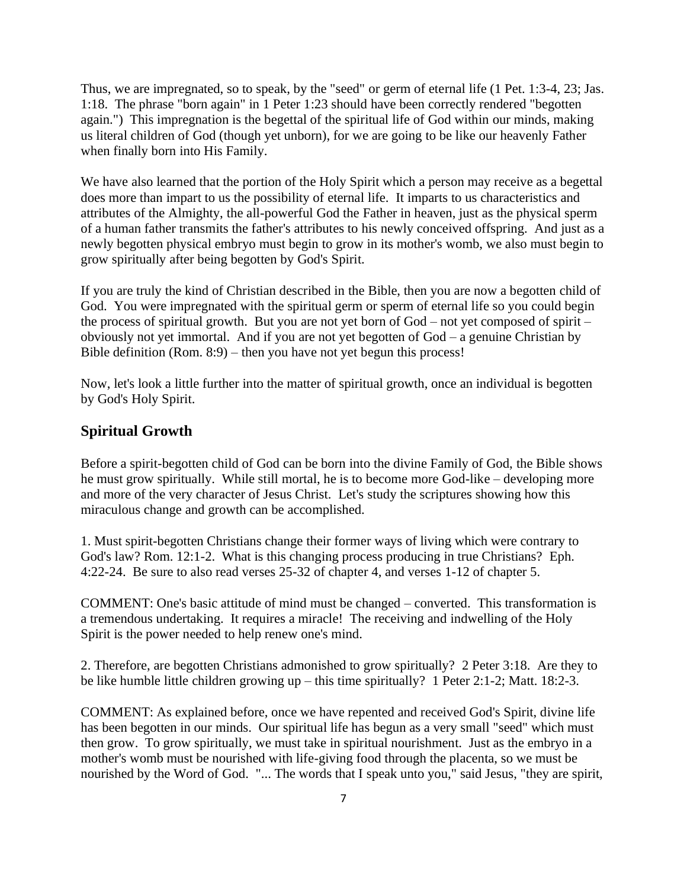Thus, we are impregnated, so to speak, by the "seed" or germ of eternal life (1 Pet. 1:3-4, 23; Jas. 1:18. The phrase "born again" in 1 Peter 1:23 should have been correctly rendered "begotten again.") This impregnation is the begettal of the spiritual life of God within our minds, making us literal children of God (though yet unborn), for we are going to be like our heavenly Father when finally born into His Family.

We have also learned that the portion of the Holy Spirit which a person may receive as a begettal does more than impart to us the possibility of eternal life. It imparts to us characteristics and attributes of the Almighty, the all-powerful God the Father in heaven, just as the physical sperm of a human father transmits the father's attributes to his newly conceived offspring. And just as a newly begotten physical embryo must begin to grow in its mother's womb, we also must begin to grow spiritually after being begotten by God's Spirit.

If you are truly the kind of Christian described in the Bible, then you are now a begotten child of God. You were impregnated with the spiritual germ or sperm of eternal life so you could begin the process of spiritual growth. But you are not yet born of  $God - not$  yet composed of spirit  $$ obviously not yet immortal. And if you are not yet begotten of God ‒ a genuine Christian by Bible definition  $(Rom. 8:9)$  – then you have not yet begun this process!

Now, let's look a little further into the matter of spiritual growth, once an individual is begotten by God's Holy Spirit.

### **Spiritual Growth**

Before a spirit-begotten child of God can be born into the divine Family of God, the Bible shows he must grow spiritually. While still mortal, he is to become more God-like – developing more and more of the very character of Jesus Christ. Let's study the scriptures showing how this miraculous change and growth can be accomplished.

1. Must spirit-begotten Christians change their former ways of living which were contrary to God's law? Rom. 12:1-2. What is this changing process producing in true Christians? Eph. 4:22-24. Be sure to also read verses 25-32 of chapter 4, and verses 1-12 of chapter 5.

COMMENT: One's basic attitude of mind must be changed ‒ converted. This transformation is a tremendous undertaking. It requires a miracle! The receiving and indwelling of the Holy Spirit is the power needed to help renew one's mind.

2. Therefore, are begotten Christians admonished to grow spiritually? 2 Peter 3:18. Are they to be like humble little children growing up  $-$  this time spiritually? 1 Peter 2:1-2; Matt. 18:2-3.

COMMENT: As explained before, once we have repented and received God's Spirit, divine life has been begotten in our minds. Our spiritual life has begun as a very small "seed" which must then grow. To grow spiritually, we must take in spiritual nourishment. Just as the embryo in a mother's womb must be nourished with life-giving food through the placenta, so we must be nourished by the Word of God. "... The words that I speak unto you," said Jesus, "they are spirit,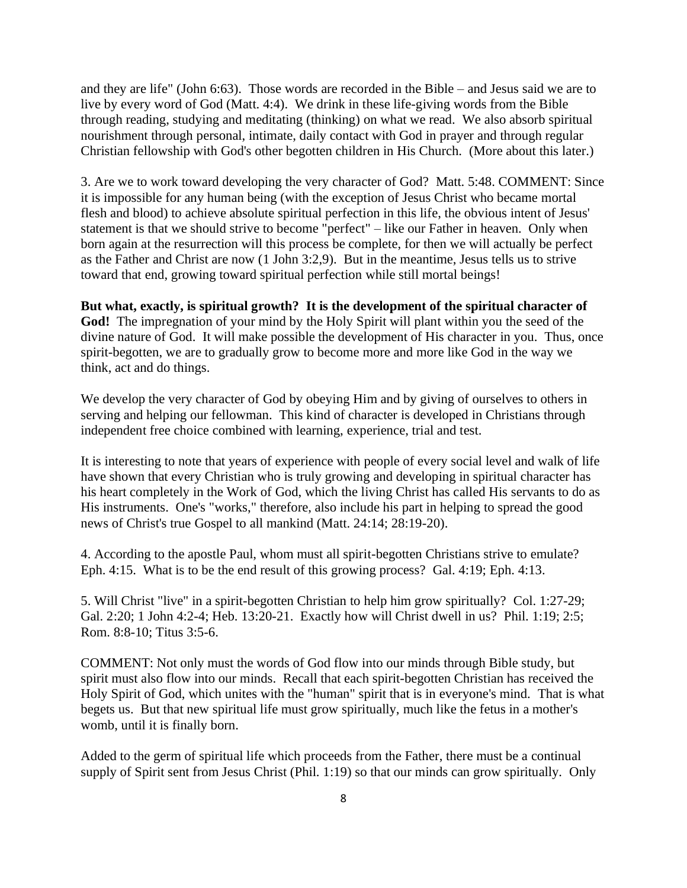and they are life" (John 6:63). Those words are recorded in the Bible  $-$  and Jesus said we are to live by every word of God (Matt. 4:4). We drink in these life-giving words from the Bible through reading, studying and meditating (thinking) on what we read. We also absorb spiritual nourishment through personal, intimate, daily contact with God in prayer and through regular Christian fellowship with God's other begotten children in His Church. (More about this later.)

3. Are we to work toward developing the very character of God? Matt. 5:48. COMMENT: Since it is impossible for any human being (with the exception of Jesus Christ who became mortal flesh and blood) to achieve absolute spiritual perfection in this life, the obvious intent of Jesus' statement is that we should strive to become "perfect" – like our Father in heaven. Only when born again at the resurrection will this process be complete, for then we will actually be perfect as the Father and Christ are now (1 John 3:2,9). But in the meantime, Jesus tells us to strive toward that end, growing toward spiritual perfection while still mortal beings!

#### **But what, exactly, is spiritual growth? It is the development of the spiritual character of**

**God!** The impregnation of your mind by the Holy Spirit will plant within you the seed of the divine nature of God. It will make possible the development of His character in you. Thus, once spirit-begotten, we are to gradually grow to become more and more like God in the way we think, act and do things.

We develop the very character of God by obeying Him and by giving of ourselves to others in serving and helping our fellowman. This kind of character is developed in Christians through independent free choice combined with learning, experience, trial and test.

It is interesting to note that years of experience with people of every social level and walk of life have shown that every Christian who is truly growing and developing in spiritual character has his heart completely in the Work of God, which the living Christ has called His servants to do as His instruments. One's "works," therefore, also include his part in helping to spread the good news of Christ's true Gospel to all mankind (Matt. 24:14; 28:19-20).

4. According to the apostle Paul, whom must all spirit-begotten Christians strive to emulate? Eph. 4:15. What is to be the end result of this growing process? Gal. 4:19; Eph. 4:13.

5. Will Christ "live" in a spirit-begotten Christian to help him grow spiritually? Col. 1:27-29; Gal. 2:20; 1 John 4:2-4; Heb. 13:20-21. Exactly how will Christ dwell in us? Phil. 1:19; 2:5; Rom. 8:8-10; Titus 3:5-6.

COMMENT: Not only must the words of God flow into our minds through Bible study, but spirit must also flow into our minds. Recall that each spirit-begotten Christian has received the Holy Spirit of God, which unites with the "human" spirit that is in everyone's mind. That is what begets us. But that new spiritual life must grow spiritually, much like the fetus in a mother's womb, until it is finally born.

Added to the germ of spiritual life which proceeds from the Father, there must be a continual supply of Spirit sent from Jesus Christ (Phil. 1:19) so that our minds can grow spiritually. Only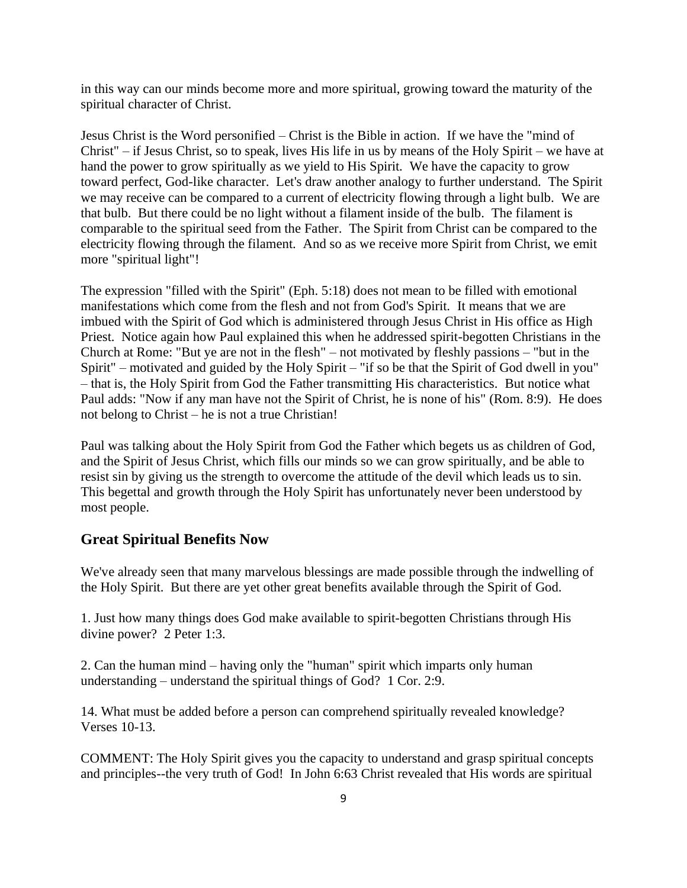in this way can our minds become more and more spiritual, growing toward the maturity of the spiritual character of Christ.

Jesus Christ is the Word personified – Christ is the Bible in action. If we have the "mind of  $Christ'' - if Jesus Christ, so to speak, lives His life in us by means of the Holy Spirit - we have at$ hand the power to grow spiritually as we yield to His Spirit. We have the capacity to grow toward perfect, God-like character. Let's draw another analogy to further understand. The Spirit we may receive can be compared to a current of electricity flowing through a light bulb. We are that bulb. But there could be no light without a filament inside of the bulb. The filament is comparable to the spiritual seed from the Father. The Spirit from Christ can be compared to the electricity flowing through the filament. And so as we receive more Spirit from Christ, we emit more "spiritual light"!

The expression "filled with the Spirit" (Eph. 5:18) does not mean to be filled with emotional manifestations which come from the flesh and not from God's Spirit. It means that we are imbued with the Spirit of God which is administered through Jesus Christ in His office as High Priest. Notice again how Paul explained this when he addressed spirit-begotten Christians in the Church at Rome: "But ye are not in the flesh"  $-$  not motivated by fleshly passions  $-$  "but in the Spirit" – motivated and guided by the Holy Spirit – "if so be that the Spirit of God dwell in you" ‒ that is, the Holy Spirit from God the Father transmitting His characteristics. But notice what Paul adds: "Now if any man have not the Spirit of Christ, he is none of his" (Rom. 8:9). He does not belong to Christ – he is not a true Christian!

Paul was talking about the Holy Spirit from God the Father which begets us as children of God, and the Spirit of Jesus Christ, which fills our minds so we can grow spiritually, and be able to resist sin by giving us the strength to overcome the attitude of the devil which leads us to sin. This begettal and growth through the Holy Spirit has unfortunately never been understood by most people.

#### **Great Spiritual Benefits Now**

We've already seen that many marvelous blessings are made possible through the indwelling of the Holy Spirit. But there are yet other great benefits available through the Spirit of God.

1. Just how many things does God make available to spirit-begotten Christians through His divine power? 2 Peter 1:3.

2. Can the human mind – having only the "human" spirit which imparts only human understanding  $-$  understand the spiritual things of God? 1 Cor. 2:9.

14. What must be added before a person can comprehend spiritually revealed knowledge? Verses 10-13.

COMMENT: The Holy Spirit gives you the capacity to understand and grasp spiritual concepts and principles--the very truth of God! In John 6:63 Christ revealed that His words are spiritual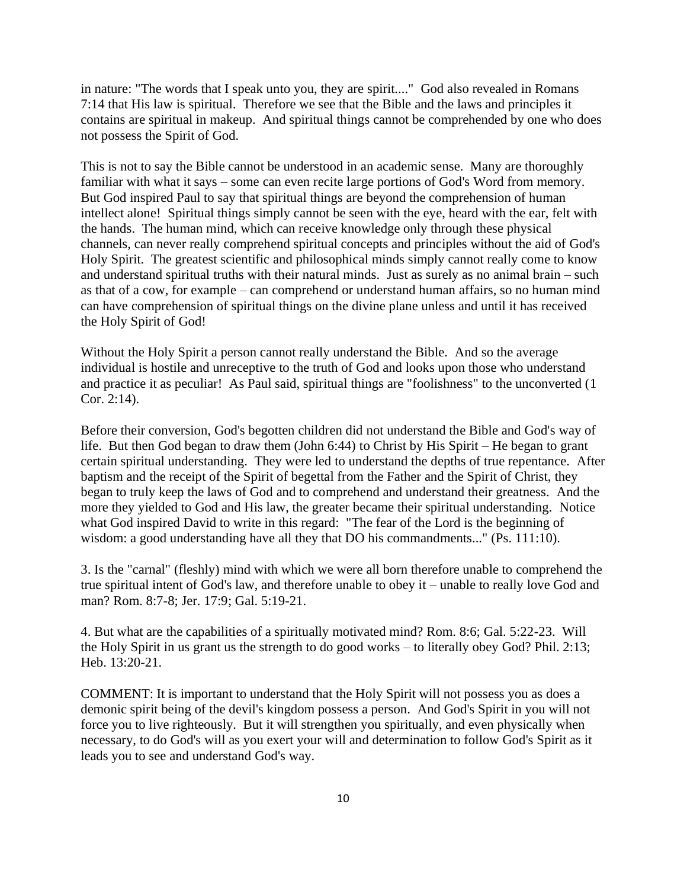in nature: "The words that I speak unto you, they are spirit...." God also revealed in Romans 7:14 that His law is spiritual. Therefore we see that the Bible and the laws and principles it contains are spiritual in makeup. And spiritual things cannot be comprehended by one who does not possess the Spirit of God.

This is not to say the Bible cannot be understood in an academic sense. Many are thoroughly familiar with what it says – some can even recite large portions of God's Word from memory. But God inspired Paul to say that spiritual things are beyond the comprehension of human intellect alone! Spiritual things simply cannot be seen with the eye, heard with the ear, felt with the hands. The human mind, which can receive knowledge only through these physical channels, can never really comprehend spiritual concepts and principles without the aid of God's Holy Spirit. The greatest scientific and philosophical minds simply cannot really come to know and understand spiritual truths with their natural minds. Just as surely as no animal brain  $-$  such as that of a cow, for example – can comprehend or understand human affairs, so no human mind can have comprehension of spiritual things on the divine plane unless and until it has received the Holy Spirit of God!

Without the Holy Spirit a person cannot really understand the Bible. And so the average individual is hostile and unreceptive to the truth of God and looks upon those who understand and practice it as peculiar! As Paul said, spiritual things are "foolishness" to the unconverted (1 Cor. 2:14).

Before their conversion, God's begotten children did not understand the Bible and God's way of life. But then God began to draw them (John  $6:44$ ) to Christ by His Spirit – He began to grant certain spiritual understanding. They were led to understand the depths of true repentance. After baptism and the receipt of the Spirit of begettal from the Father and the Spirit of Christ, they began to truly keep the laws of God and to comprehend and understand their greatness. And the more they yielded to God and His law, the greater became their spiritual understanding. Notice what God inspired David to write in this regard: "The fear of the Lord is the beginning of wisdom: a good understanding have all they that DO his commandments..." (Ps. 111:10).

3. Is the "carnal" (fleshly) mind with which we were all born therefore unable to comprehend the true spiritual intent of God's law, and therefore unable to obey it – unable to really love God and man? Rom. 8:7-8; Jer. 17:9; Gal. 5:19-21.

4. But what are the capabilities of a spiritually motivated mind? Rom. 8:6; Gal. 5:22-23. Will the Holy Spirit in us grant us the strength to do good works – to literally obey God? Phil. 2:13; Heb. 13:20-21.

COMMENT: It is important to understand that the Holy Spirit will not possess you as does a demonic spirit being of the devil's kingdom possess a person. And God's Spirit in you will not force you to live righteously. But it will strengthen you spiritually, and even physically when necessary, to do God's will as you exert your will and determination to follow God's Spirit as it leads you to see and understand God's way.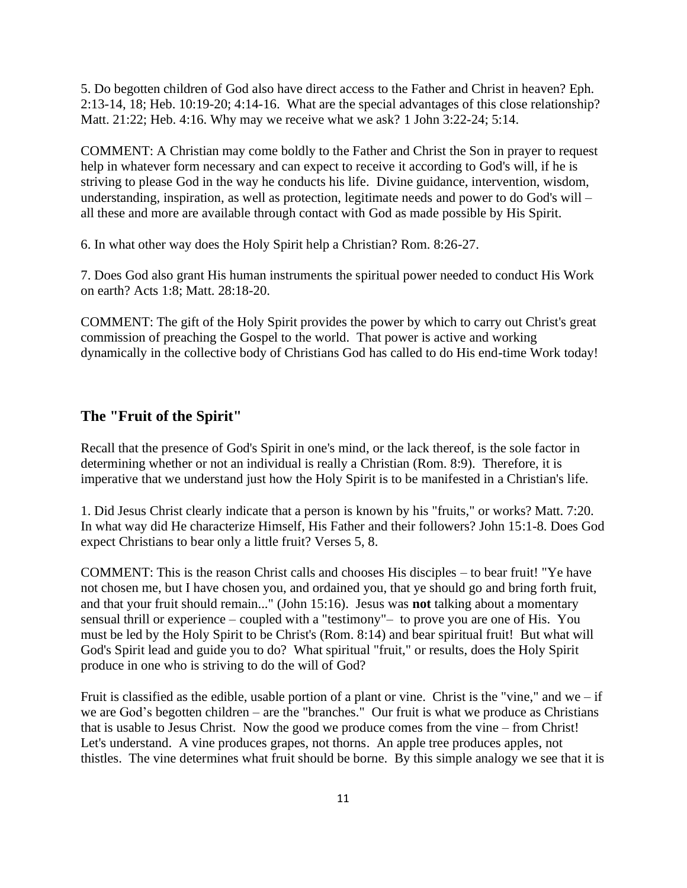5. Do begotten children of God also have direct access to the Father and Christ in heaven? Eph. 2:13-14, 18; Heb. 10:19-20; 4:14-16. What are the special advantages of this close relationship? Matt. 21:22; Heb. 4:16. Why may we receive what we ask? 1 John 3:22-24; 5:14.

COMMENT: A Christian may come boldly to the Father and Christ the Son in prayer to request help in whatever form necessary and can expect to receive it according to God's will, if he is striving to please God in the way he conducts his life. Divine guidance, intervention, wisdom, understanding, inspiration, as well as protection, legitimate needs and power to do God's will  $$ all these and more are available through contact with God as made possible by His Spirit.

6. In what other way does the Holy Spirit help a Christian? Rom. 8:26-27.

7. Does God also grant His human instruments the spiritual power needed to conduct His Work on earth? Acts 1:8; Matt. 28:18-20.

COMMENT: The gift of the Holy Spirit provides the power by which to carry out Christ's great commission of preaching the Gospel to the world. That power is active and working dynamically in the collective body of Christians God has called to do His end-time Work today!

#### **The "Fruit of the Spirit"**

Recall that the presence of God's Spirit in one's mind, or the lack thereof, is the sole factor in determining whether or not an individual is really a Christian (Rom. 8:9). Therefore, it is imperative that we understand just how the Holy Spirit is to be manifested in a Christian's life.

1. Did Jesus Christ clearly indicate that a person is known by his "fruits," or works? Matt. 7:20. In what way did He characterize Himself, His Father and their followers? John 15:1-8. Does God expect Christians to bear only a little fruit? Verses 5, 8.

COMMENT: This is the reason Christ calls and chooses His disciples – to bear fruit! "Ye have not chosen me, but I have chosen you, and ordained you, that ye should go and bring forth fruit, and that your fruit should remain..." (John 15:16). Jesus was **not** talking about a momentary sensual thrill or experience – coupled with a "testimony"- to prove you are one of His. You must be led by the Holy Spirit to be Christ's (Rom. 8:14) and bear spiritual fruit! But what will God's Spirit lead and guide you to do? What spiritual "fruit," or results, does the Holy Spirit produce in one who is striving to do the will of God?

Fruit is classified as the edible, usable portion of a plant or vine. Christ is the "vine," and we  $-$  if we are God's begotten children – are the "branches." Our fruit is what we produce as Christians that is usable to Jesus Christ. Now the good we produce comes from the vine – from Christ! Let's understand. A vine produces grapes, not thorns. An apple tree produces apples, not thistles. The vine determines what fruit should be borne. By this simple analogy we see that it is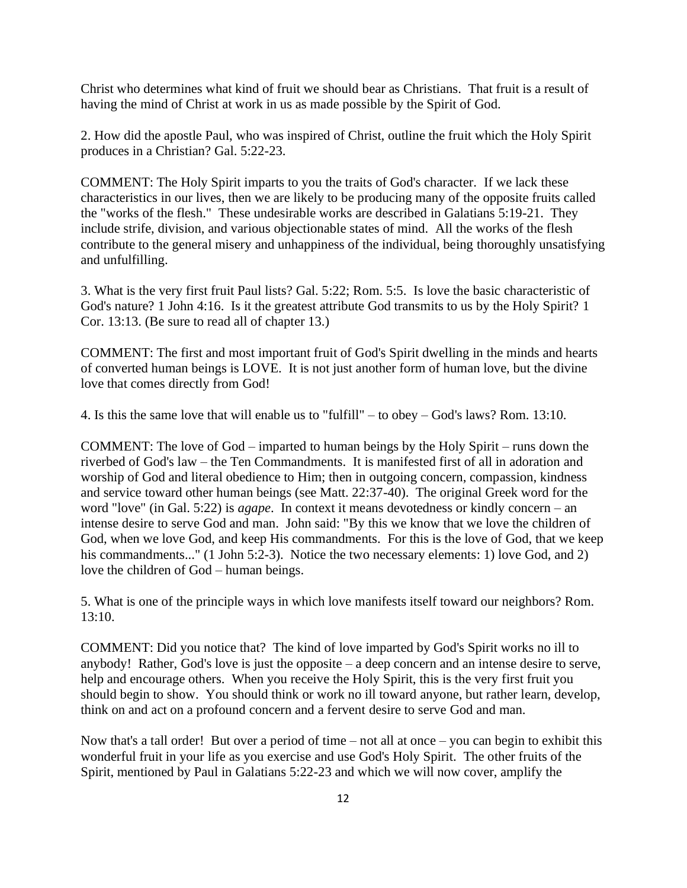Christ who determines what kind of fruit we should bear as Christians. That fruit is a result of having the mind of Christ at work in us as made possible by the Spirit of God.

2. How did the apostle Paul, who was inspired of Christ, outline the fruit which the Holy Spirit produces in a Christian? Gal. 5:22-23.

COMMENT: The Holy Spirit imparts to you the traits of God's character. If we lack these characteristics in our lives, then we are likely to be producing many of the opposite fruits called the "works of the flesh." These undesirable works are described in Galatians 5:19-21. They include strife, division, and various objectionable states of mind. All the works of the flesh contribute to the general misery and unhappiness of the individual, being thoroughly unsatisfying and unfulfilling.

3. What is the very first fruit Paul lists? Gal. 5:22; Rom. 5:5. Is love the basic characteristic of God's nature? 1 John 4:16. Is it the greatest attribute God transmits to us by the Holy Spirit? 1 Cor. 13:13. (Be sure to read all of chapter 13.)

COMMENT: The first and most important fruit of God's Spirit dwelling in the minds and hearts of converted human beings is LOVE. It is not just another form of human love, but the divine love that comes directly from God!

4. Is this the same love that will enable us to "fulfill"  $-$  to obey  $-$  God's laws? Rom. 13:10.

COMMENT: The love of God – imparted to human beings by the Holy Spirit – runs down the riverbed of God's law – the Ten Commandments. It is manifested first of all in adoration and worship of God and literal obedience to Him; then in outgoing concern, compassion, kindness and service toward other human beings (see Matt. 22:37-40). The original Greek word for the word "love" (in Gal. 5:22) is *agape*. In context it means devotedness or kindly concern – an intense desire to serve God and man. John said: "By this we know that we love the children of God, when we love God, and keep His commandments. For this is the love of God, that we keep his commandments..." (1 John 5:2-3). Notice the two necessary elements: 1) love God, and 2) love the children of God – human beings.

5. What is one of the principle ways in which love manifests itself toward our neighbors? Rom. 13:10.

COMMENT: Did you notice that? The kind of love imparted by God's Spirit works no ill to anybody! Rather, God's love is just the opposite  $-$  a deep concern and an intense desire to serve, help and encourage others. When you receive the Holy Spirit, this is the very first fruit you should begin to show. You should think or work no ill toward anyone, but rather learn, develop, think on and act on a profound concern and a fervent desire to serve God and man.

Now that's a tall order! But over a period of time  $-$  not all at once  $-$  you can begin to exhibit this wonderful fruit in your life as you exercise and use God's Holy Spirit. The other fruits of the Spirit, mentioned by Paul in Galatians 5:22-23 and which we will now cover, amplify the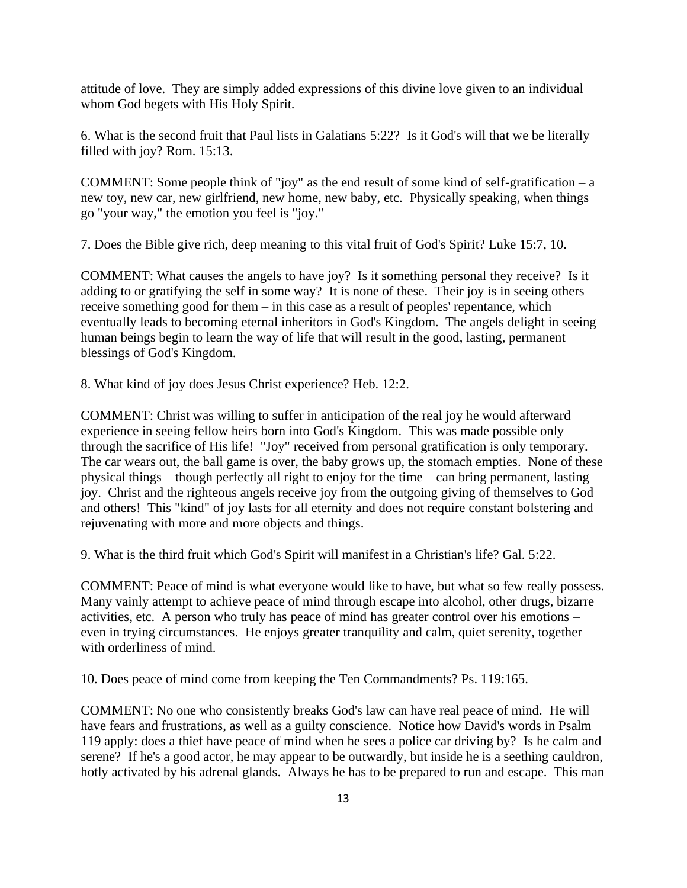attitude of love. They are simply added expressions of this divine love given to an individual whom God begets with His Holy Spirit.

6. What is the second fruit that Paul lists in Galatians 5:22? Is it God's will that we be literally filled with joy? Rom. 15:13.

COMMENT: Some people think of "joy" as the end result of some kind of self-gratification  $-a$ new toy, new car, new girlfriend, new home, new baby, etc. Physically speaking, when things go "your way," the emotion you feel is "joy."

7. Does the Bible give rich, deep meaning to this vital fruit of God's Spirit? Luke 15:7, 10.

COMMENT: What causes the angels to have joy? Is it something personal they receive? Is it adding to or gratifying the self in some way? It is none of these. Their joy is in seeing others receive something good for them  $-\text{in}$  this case as a result of peoples' repentance, which eventually leads to becoming eternal inheritors in God's Kingdom. The angels delight in seeing human beings begin to learn the way of life that will result in the good, lasting, permanent blessings of God's Kingdom.

8. What kind of joy does Jesus Christ experience? Heb. 12:2.

COMMENT: Christ was willing to suffer in anticipation of the real joy he would afterward experience in seeing fellow heirs born into God's Kingdom. This was made possible only through the sacrifice of His life! "Joy" received from personal gratification is only temporary. The car wears out, the ball game is over, the baby grows up, the stomach empties. None of these physical things – though perfectly all right to enjoy for the time – can bring permanent, lasting joy. Christ and the righteous angels receive joy from the outgoing giving of themselves to God and others! This "kind" of joy lasts for all eternity and does not require constant bolstering and rejuvenating with more and more objects and things.

9. What is the third fruit which God's Spirit will manifest in a Christian's life? Gal. 5:22.

COMMENT: Peace of mind is what everyone would like to have, but what so few really possess. Many vainly attempt to achieve peace of mind through escape into alcohol, other drugs, bizarre activities, etc. A person who truly has peace of mind has greater control over his emotions – even in trying circumstances. He enjoys greater tranquility and calm, quiet serenity, together with orderliness of mind.

10. Does peace of mind come from keeping the Ten Commandments? Ps. 119:165.

COMMENT: No one who consistently breaks God's law can have real peace of mind. He will have fears and frustrations, as well as a guilty conscience. Notice how David's words in Psalm 119 apply: does a thief have peace of mind when he sees a police car driving by? Is he calm and serene? If he's a good actor, he may appear to be outwardly, but inside he is a seething cauldron, hotly activated by his adrenal glands. Always he has to be prepared to run and escape. This man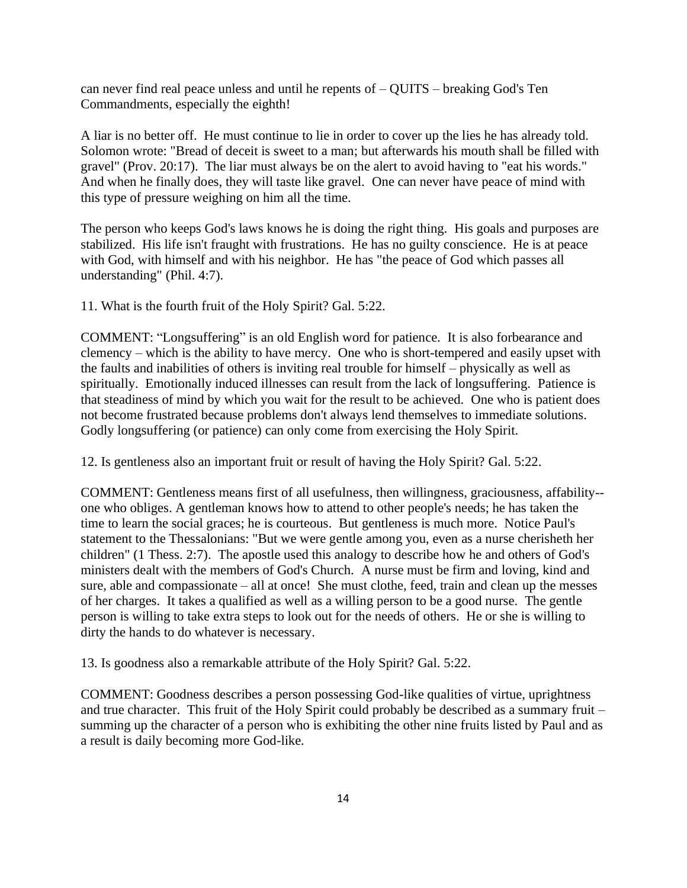can never find real peace unless and until he repents of  $-$  QUITS  $-$  breaking God's Ten Commandments, especially the eighth!

A liar is no better off. He must continue to lie in order to cover up the lies he has already told. Solomon wrote: "Bread of deceit is sweet to a man; but afterwards his mouth shall be filled with gravel" (Prov. 20:17). The liar must always be on the alert to avoid having to "eat his words." And when he finally does, they will taste like gravel. One can never have peace of mind with this type of pressure weighing on him all the time.

The person who keeps God's laws knows he is doing the right thing. His goals and purposes are stabilized. His life isn't fraught with frustrations. He has no guilty conscience. He is at peace with God, with himself and with his neighbor. He has "the peace of God which passes all understanding" (Phil. 4:7).

11. What is the fourth fruit of the Holy Spirit? Gal. 5:22.

COMMENT: "Longsuffering" is an old English word for patience. It is also forbearance and clemency – which is the ability to have mercy. One who is short-tempered and easily upset with the faults and inabilities of others is inviting real trouble for himself – physically as well as spiritually. Emotionally induced illnesses can result from the lack of longsuffering. Patience is that steadiness of mind by which you wait for the result to be achieved. One who is patient does not become frustrated because problems don't always lend themselves to immediate solutions. Godly longsuffering (or patience) can only come from exercising the Holy Spirit.

12. Is gentleness also an important fruit or result of having the Holy Spirit? Gal. 5:22.

COMMENT: Gentleness means first of all usefulness, then willingness, graciousness, affability- one who obliges. A gentleman knows how to attend to other people's needs; he has taken the time to learn the social graces; he is courteous. But gentleness is much more. Notice Paul's statement to the Thessalonians: "But we were gentle among you, even as a nurse cherisheth her children" (1 Thess. 2:7). The apostle used this analogy to describe how he and others of God's ministers dealt with the members of God's Church. A nurse must be firm and loving, kind and sure, able and compassionate  $-$  all at once! She must clothe, feed, train and clean up the messes of her charges. It takes a qualified as well as a willing person to be a good nurse. The gentle person is willing to take extra steps to look out for the needs of others. He or she is willing to dirty the hands to do whatever is necessary.

13. Is goodness also a remarkable attribute of the Holy Spirit? Gal. 5:22.

COMMENT: Goodness describes a person possessing God-like qualities of virtue, uprightness and true character. This fruit of the Holy Spirit could probably be described as a summary fruit – summing up the character of a person who is exhibiting the other nine fruits listed by Paul and as a result is daily becoming more God-like.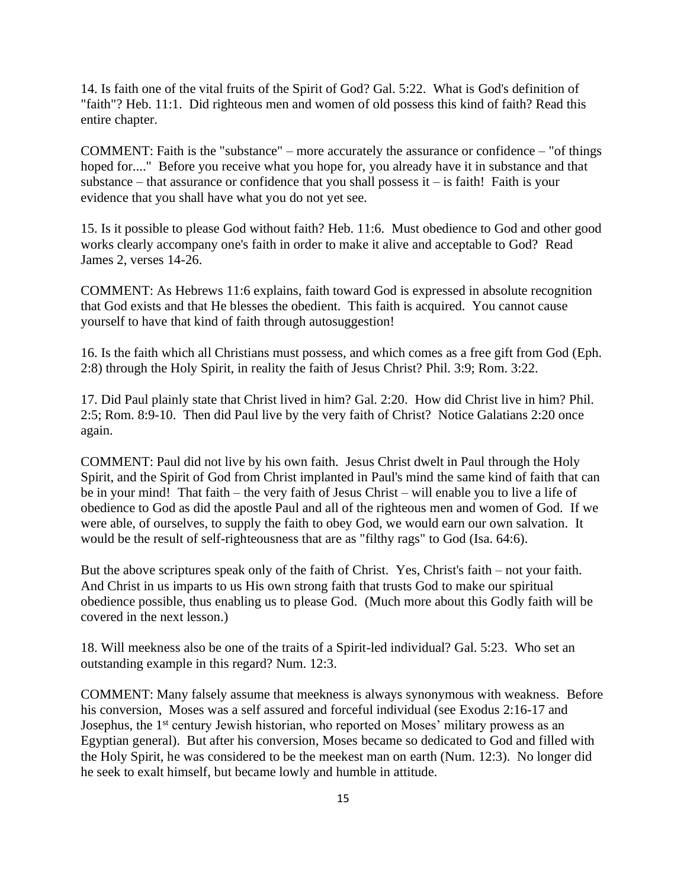14. Is faith one of the vital fruits of the Spirit of God? Gal. 5:22. What is God's definition of "faith"? Heb. 11:1. Did righteous men and women of old possess this kind of faith? Read this entire chapter.

COMMENT: Faith is the "substance"  $-$  more accurately the assurance or confidence  $-$  "of things hoped for...." Before you receive what you hope for, you already have it in substance and that substance  $-$  that assurance or confidence that you shall possess it  $-$  is faith! Faith is your evidence that you shall have what you do not yet see.

15. Is it possible to please God without faith? Heb. 11:6. Must obedience to God and other good works clearly accompany one's faith in order to make it alive and acceptable to God? Read James 2, verses 14-26.

COMMENT: As Hebrews 11:6 explains, faith toward God is expressed in absolute recognition that God exists and that He blesses the obedient. This faith is acquired. You cannot cause yourself to have that kind of faith through autosuggestion!

16. Is the faith which all Christians must possess, and which comes as a free gift from God (Eph. 2:8) through the Holy Spirit, in reality the faith of Jesus Christ? Phil. 3:9; Rom. 3:22.

17. Did Paul plainly state that Christ lived in him? Gal. 2:20. How did Christ live in him? Phil. 2:5; Rom. 8:9-10. Then did Paul live by the very faith of Christ? Notice Galatians 2:20 once again.

COMMENT: Paul did not live by his own faith. Jesus Christ dwelt in Paul through the Holy Spirit, and the Spirit of God from Christ implanted in Paul's mind the same kind of faith that can be in your mind! That faith – the very faith of Jesus Christ – will enable you to live a life of obedience to God as did the apostle Paul and all of the righteous men and women of God. If we were able, of ourselves, to supply the faith to obey God, we would earn our own salvation. It would be the result of self-righteousness that are as "filthy rags" to God (Isa. 64:6).

But the above scriptures speak only of the faith of Christ. Yes, Christ's faith – not your faith. And Christ in us imparts to us His own strong faith that trusts God to make our spiritual obedience possible, thus enabling us to please God. (Much more about this Godly faith will be covered in the next lesson.)

18. Will meekness also be one of the traits of a Spirit-led individual? Gal. 5:23. Who set an outstanding example in this regard? Num. 12:3.

COMMENT: Many falsely assume that meekness is always synonymous with weakness. Before his conversion, Moses was a self assured and forceful individual (see Exodus 2:16-17 and Josephus, the 1<sup>st</sup> century Jewish historian, who reported on Moses' military prowess as an Egyptian general). But after his conversion, Moses became so dedicated to God and filled with the Holy Spirit, he was considered to be the meekest man on earth (Num. 12:3). No longer did he seek to exalt himself, but became lowly and humble in attitude.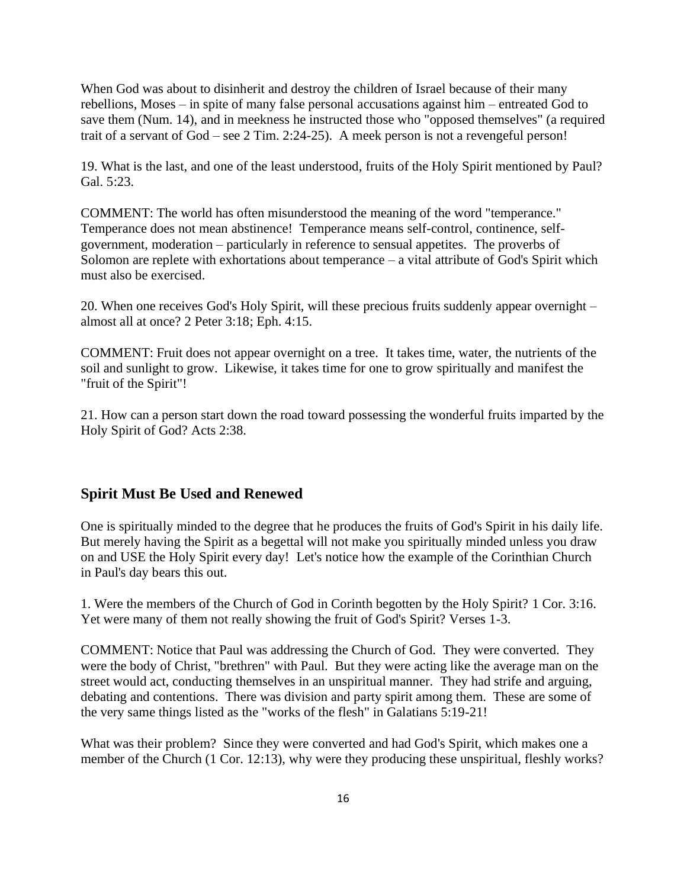When God was about to disinherit and destroy the children of Israel because of their many rebellions, Moses – in spite of many false personal accusations against him – entreated God to save them (Num. 14), and in meekness he instructed those who "opposed themselves" (a required trait of a servant of  $God - see 2 Tim. 2:24-25$ ). A meek person is not a revengeful person!

19. What is the last, and one of the least understood, fruits of the Holy Spirit mentioned by Paul? Gal. 5:23.

COMMENT: The world has often misunderstood the meaning of the word "temperance." Temperance does not mean abstinence! Temperance means self-control, continence, selfgovernment, moderation ‒ particularly in reference to sensual appetites. The proverbs of Solomon are replete with exhortations about temperance  $-$  a vital attribute of God's Spirit which must also be exercised.

20. When one receives God's Holy Spirit, will these precious fruits suddenly appear overnight – almost all at once? 2 Peter 3:18; Eph. 4:15.

COMMENT: Fruit does not appear overnight on a tree. It takes time, water, the nutrients of the soil and sunlight to grow. Likewise, it takes time for one to grow spiritually and manifest the "fruit of the Spirit"!

21. How can a person start down the road toward possessing the wonderful fruits imparted by the Holy Spirit of God? Acts 2:38.

#### **Spirit Must Be Used and Renewed**

One is spiritually minded to the degree that he produces the fruits of God's Spirit in his daily life. But merely having the Spirit as a begettal will not make you spiritually minded unless you draw on and USE the Holy Spirit every day! Let's notice how the example of the Corinthian Church in Paul's day bears this out.

1. Were the members of the Church of God in Corinth begotten by the Holy Spirit? 1 Cor. 3:16. Yet were many of them not really showing the fruit of God's Spirit? Verses 1-3.

COMMENT: Notice that Paul was addressing the Church of God. They were converted. They were the body of Christ, "brethren" with Paul. But they were acting like the average man on the street would act, conducting themselves in an unspiritual manner. They had strife and arguing, debating and contentions. There was division and party spirit among them. These are some of the very same things listed as the "works of the flesh" in Galatians 5:19-21!

What was their problem? Since they were converted and had God's Spirit, which makes one a member of the Church (1 Cor. 12:13), why were they producing these unspiritual, fleshly works?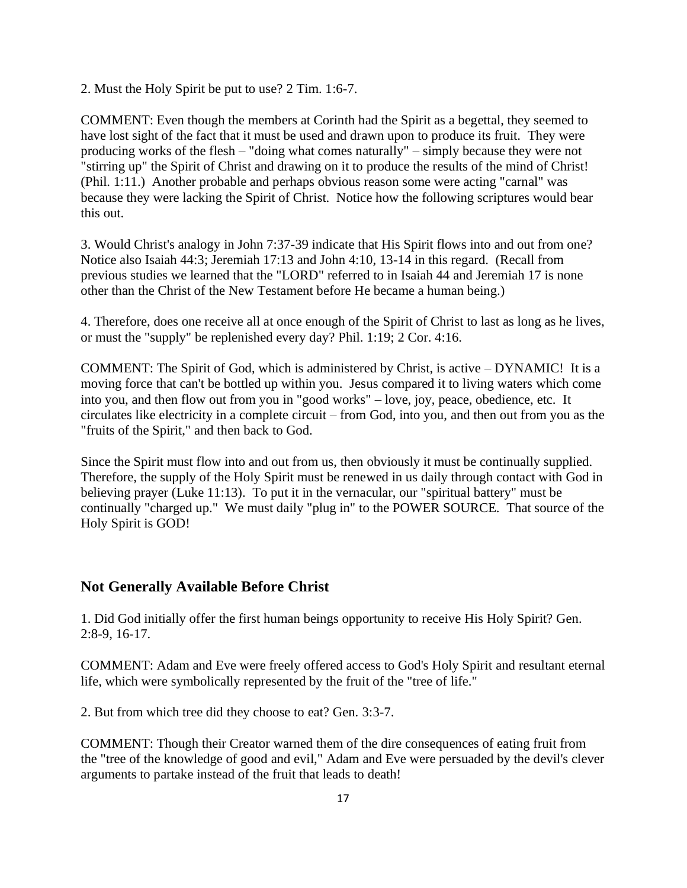2. Must the Holy Spirit be put to use? 2 Tim. 1:6-7.

COMMENT: Even though the members at Corinth had the Spirit as a begettal, they seemed to have lost sight of the fact that it must be used and drawn upon to produce its fruit. They were producing works of the flesh – "doing what comes naturally" – simply because they were not "stirring up" the Spirit of Christ and drawing on it to produce the results of the mind of Christ! (Phil. 1:11.) Another probable and perhaps obvious reason some were acting "carnal" was because they were lacking the Spirit of Christ. Notice how the following scriptures would bear this out.

3. Would Christ's analogy in John 7:37-39 indicate that His Spirit flows into and out from one? Notice also Isaiah 44:3; Jeremiah 17:13 and John 4:10, 13-14 in this regard. (Recall from previous studies we learned that the "LORD" referred to in Isaiah 44 and Jeremiah 17 is none other than the Christ of the New Testament before He became a human being.)

4. Therefore, does one receive all at once enough of the Spirit of Christ to last as long as he lives, or must the "supply" be replenished every day? Phil. 1:19; 2 Cor. 4:16.

COMMENT: The Spirit of God, which is administered by Christ, is active ‒ DYNAMIC! It is a moving force that can't be bottled up within you. Jesus compared it to living waters which come into you, and then flow out from you in "good works" – love, joy, peace, obedience, etc. It circulates like electricity in a complete circuit – from God, into you, and then out from you as the "fruits of the Spirit," and then back to God.

Since the Spirit must flow into and out from us, then obviously it must be continually supplied. Therefore, the supply of the Holy Spirit must be renewed in us daily through contact with God in believing prayer (Luke 11:13). To put it in the vernacular, our "spiritual battery" must be continually "charged up." We must daily "plug in" to the POWER SOURCE. That source of the Holy Spirit is GOD!

#### **Not Generally Available Before Christ**

1. Did God initially offer the first human beings opportunity to receive His Holy Spirit? Gen. 2:8-9, 16-17.

COMMENT: Adam and Eve were freely offered access to God's Holy Spirit and resultant eternal life, which were symbolically represented by the fruit of the "tree of life."

2. But from which tree did they choose to eat? Gen. 3:3-7.

COMMENT: Though their Creator warned them of the dire consequences of eating fruit from the "tree of the knowledge of good and evil," Adam and Eve were persuaded by the devil's clever arguments to partake instead of the fruit that leads to death!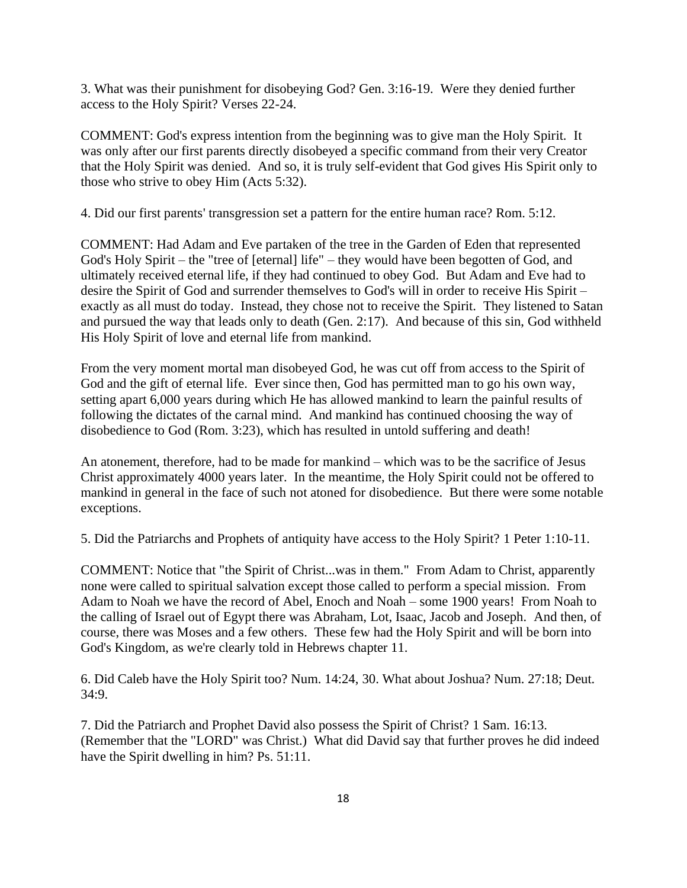3. What was their punishment for disobeying God? Gen. 3:16-19. Were they denied further access to the Holy Spirit? Verses 22-24.

COMMENT: God's express intention from the beginning was to give man the Holy Spirit. It was only after our first parents directly disobeyed a specific command from their very Creator that the Holy Spirit was denied. And so, it is truly self-evident that God gives His Spirit only to those who strive to obey Him (Acts 5:32).

4. Did our first parents' transgression set a pattern for the entire human race? Rom. 5:12.

COMMENT: Had Adam and Eve partaken of the tree in the Garden of Eden that represented God's Holy Spirit – the "tree of [eternal] life" – they would have been begotten of God, and ultimately received eternal life, if they had continued to obey God. But Adam and Eve had to desire the Spirit of God and surrender themselves to God's will in order to receive His Spirit – exactly as all must do today. Instead, they chose not to receive the Spirit. They listened to Satan and pursued the way that leads only to death (Gen. 2:17). And because of this sin, God withheld His Holy Spirit of love and eternal life from mankind.

From the very moment mortal man disobeyed God, he was cut off from access to the Spirit of God and the gift of eternal life. Ever since then, God has permitted man to go his own way, setting apart 6,000 years during which He has allowed mankind to learn the painful results of following the dictates of the carnal mind. And mankind has continued choosing the way of disobedience to God (Rom. 3:23), which has resulted in untold suffering and death!

An atonement, therefore, had to be made for mankind – which was to be the sacrifice of Jesus Christ approximately 4000 years later. In the meantime, the Holy Spirit could not be offered to mankind in general in the face of such not atoned for disobedience. But there were some notable exceptions.

5. Did the Patriarchs and Prophets of antiquity have access to the Holy Spirit? 1 Peter 1:10-11.

COMMENT: Notice that "the Spirit of Christ...was in them." From Adam to Christ, apparently none were called to spiritual salvation except those called to perform a special mission. From Adam to Noah we have the record of Abel, Enoch and Noah – some 1900 years! From Noah to the calling of Israel out of Egypt there was Abraham, Lot, Isaac, Jacob and Joseph. And then, of course, there was Moses and a few others. These few had the Holy Spirit and will be born into God's Kingdom, as we're clearly told in Hebrews chapter 11.

6. Did Caleb have the Holy Spirit too? Num. 14:24, 30. What about Joshua? Num. 27:18; Deut. 34:9.

7. Did the Patriarch and Prophet David also possess the Spirit of Christ? 1 Sam. 16:13. (Remember that the "LORD" was Christ.) What did David say that further proves he did indeed have the Spirit dwelling in him? Ps. 51:11.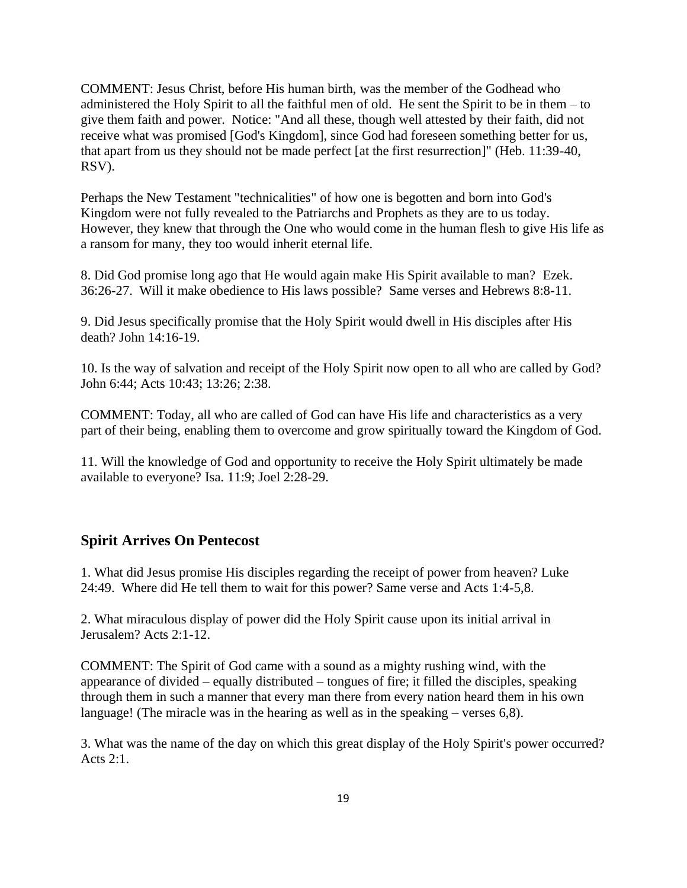COMMENT: Jesus Christ, before His human birth, was the member of the Godhead who administered the Holy Spirit to all the faithful men of old. He sent the Spirit to be in them  $-$  to give them faith and power. Notice: "And all these, though well attested by their faith, did not receive what was promised [God's Kingdom], since God had foreseen something better for us, that apart from us they should not be made perfect [at the first resurrection]" (Heb. 11:39-40, RSV).

Perhaps the New Testament "technicalities" of how one is begotten and born into God's Kingdom were not fully revealed to the Patriarchs and Prophets as they are to us today. However, they knew that through the One who would come in the human flesh to give His life as a ransom for many, they too would inherit eternal life.

8. Did God promise long ago that He would again make His Spirit available to man? Ezek. 36:26-27. Will it make obedience to His laws possible? Same verses and Hebrews 8:8-11.

9. Did Jesus specifically promise that the Holy Spirit would dwell in His disciples after His death? John 14:16-19.

10. Is the way of salvation and receipt of the Holy Spirit now open to all who are called by God? John 6:44; Acts 10:43; 13:26; 2:38.

COMMENT: Today, all who are called of God can have His life and characteristics as a very part of their being, enabling them to overcome and grow spiritually toward the Kingdom of God.

11. Will the knowledge of God and opportunity to receive the Holy Spirit ultimately be made available to everyone? Isa. 11:9; Joel 2:28-29.

#### **Spirit Arrives On Pentecost**

1. What did Jesus promise His disciples regarding the receipt of power from heaven? Luke 24:49. Where did He tell them to wait for this power? Same verse and Acts 1:4-5,8.

2. What miraculous display of power did the Holy Spirit cause upon its initial arrival in Jerusalem? Acts 2:1-12.

COMMENT: The Spirit of God came with a sound as a mighty rushing wind, with the appearance of divided  $-$  equally distributed  $-$  tongues of fire; it filled the disciples, speaking through them in such a manner that every man there from every nation heard them in his own language! (The miracle was in the hearing as well as in the speaking  $-$  verses 6,8).

3. What was the name of the day on which this great display of the Holy Spirit's power occurred? Acts 2:1.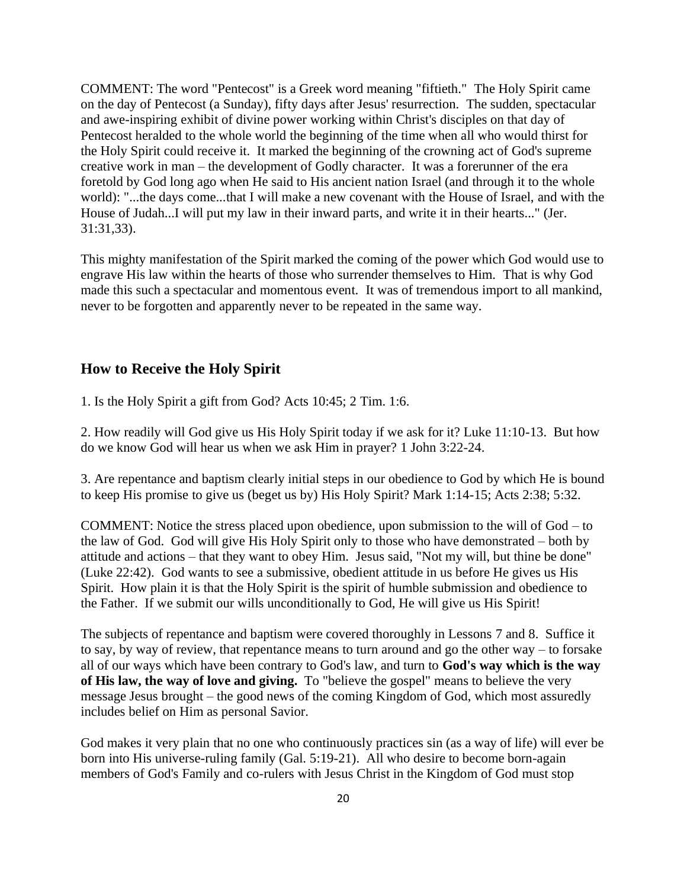COMMENT: The word "Pentecost" is a Greek word meaning "fiftieth." The Holy Spirit came on the day of Pentecost (a Sunday), fifty days after Jesus' resurrection. The sudden, spectacular and awe-inspiring exhibit of divine power working within Christ's disciples on that day of Pentecost heralded to the whole world the beginning of the time when all who would thirst for the Holy Spirit could receive it. It marked the beginning of the crowning act of God's supreme creative work in man – the development of Godly character. It was a forerunner of the era foretold by God long ago when He said to His ancient nation Israel (and through it to the whole world): "...the days come...that I will make a new covenant with the House of Israel, and with the House of Judah...I will put my law in their inward parts, and write it in their hearts..." (Jer. 31:31,33).

This mighty manifestation of the Spirit marked the coming of the power which God would use to engrave His law within the hearts of those who surrender themselves to Him. That is why God made this such a spectacular and momentous event. It was of tremendous import to all mankind, never to be forgotten and apparently never to be repeated in the same way.

## **How to Receive the Holy Spirit**

1. Is the Holy Spirit a gift from God? Acts 10:45; 2 Tim. 1:6.

2. How readily will God give us His Holy Spirit today if we ask for it? Luke 11:10-13. But how do we know God will hear us when we ask Him in prayer? 1 John 3:22-24.

3. Are repentance and baptism clearly initial steps in our obedience to God by which He is bound to keep His promise to give us (beget us by) His Holy Spirit? Mark 1:14-15; Acts 2:38; 5:32.

COMMENT: Notice the stress placed upon obedience, upon submission to the will of  $God - to$ the law of God. God will give His Holy Spirit only to those who have demonstrated  $-$  both by attitude and actions – that they want to obey Him. Jesus said, "Not my will, but thine be done" (Luke 22:42). God wants to see a submissive, obedient attitude in us before He gives us His Spirit. How plain it is that the Holy Spirit is the spirit of humble submission and obedience to the Father. If we submit our wills unconditionally to God, He will give us His Spirit!

The subjects of repentance and baptism were covered thoroughly in Lessons 7 and 8. Suffice it to say, by way of review, that repentance means to turn around and go the other way  $-$  to forsake all of our ways which have been contrary to God's law, and turn to **God's way which is the way of His law, the way of love and giving.** To "believe the gospel" means to believe the very message Jesus brought – the good news of the coming Kingdom of God, which most assuredly includes belief on Him as personal Savior.

God makes it very plain that no one who continuously practices sin (as a way of life) will ever be born into His universe-ruling family (Gal. 5:19-21). All who desire to become born-again members of God's Family and co-rulers with Jesus Christ in the Kingdom of God must stop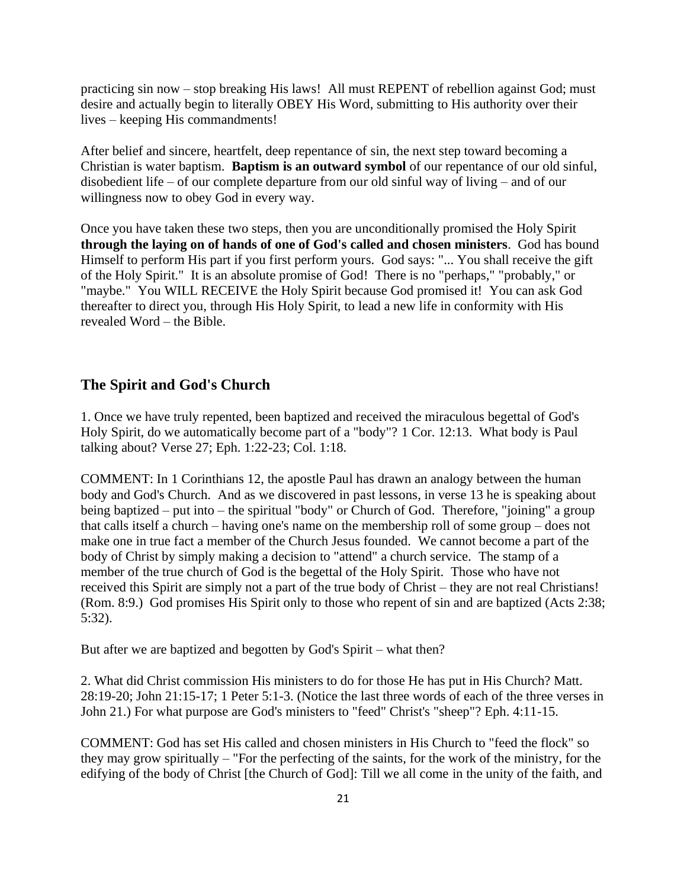practicing sin now ‒ stop breaking His laws! All must REPENT of rebellion against God; must desire and actually begin to literally OBEY His Word, submitting to His authority over their lives ‒ keeping His commandments!

After belief and sincere, heartfelt, deep repentance of sin, the next step toward becoming a Christian is water baptism. **Baptism is an outward symbol** of our repentance of our old sinful, disobedient life  $-$  of our complete departure from our old sinful way of living  $-$  and of our willingness now to obey God in every way.

Once you have taken these two steps, then you are unconditionally promised the Holy Spirit **through the laying on of hands of one of God's called and chosen ministers**. God has bound Himself to perform His part if you first perform yours. God says: "... You shall receive the gift of the Holy Spirit." It is an absolute promise of God! There is no "perhaps," "probably," or "maybe." You WILL RECEIVE the Holy Spirit because God promised it! You can ask God thereafter to direct you, through His Holy Spirit, to lead a new life in conformity with His revealed Word – the Bible.

#### **The Spirit and God's Church**

1. Once we have truly repented, been baptized and received the miraculous begettal of God's Holy Spirit, do we automatically become part of a "body"? 1 Cor. 12:13. What body is Paul talking about? Verse 27; Eph. 1:22-23; Col. 1:18.

COMMENT: In 1 Corinthians 12, the apostle Paul has drawn an analogy between the human body and God's Church. And as we discovered in past lessons, in verse 13 he is speaking about being baptized – put into – the spiritual "body" or Church of God. Therefore, "joining" a group that calls itself a church  $-$  having one's name on the membership roll of some group  $-$  does not make one in true fact a member of the Church Jesus founded. We cannot become a part of the body of Christ by simply making a decision to "attend" a church service. The stamp of a member of the true church of God is the begettal of the Holy Spirit. Those who have not received this Spirit are simply not a part of the true body of Christ – they are not real Christians! (Rom. 8:9.) God promises His Spirit only to those who repent of sin and are baptized (Acts 2:38; 5:32).

But after we are baptized and begotten by God's Spirit – what then?

2. What did Christ commission His ministers to do for those He has put in His Church? Matt. 28:19-20; John 21:15-17; 1 Peter 5:1-3. (Notice the last three words of each of the three verses in John 21.) For what purpose are God's ministers to "feed" Christ's "sheep"? Eph. 4:11-15.

COMMENT: God has set His called and chosen ministers in His Church to "feed the flock" so they may grow spiritually ‒ "For the perfecting of the saints, for the work of the ministry, for the edifying of the body of Christ [the Church of God]: Till we all come in the unity of the faith, and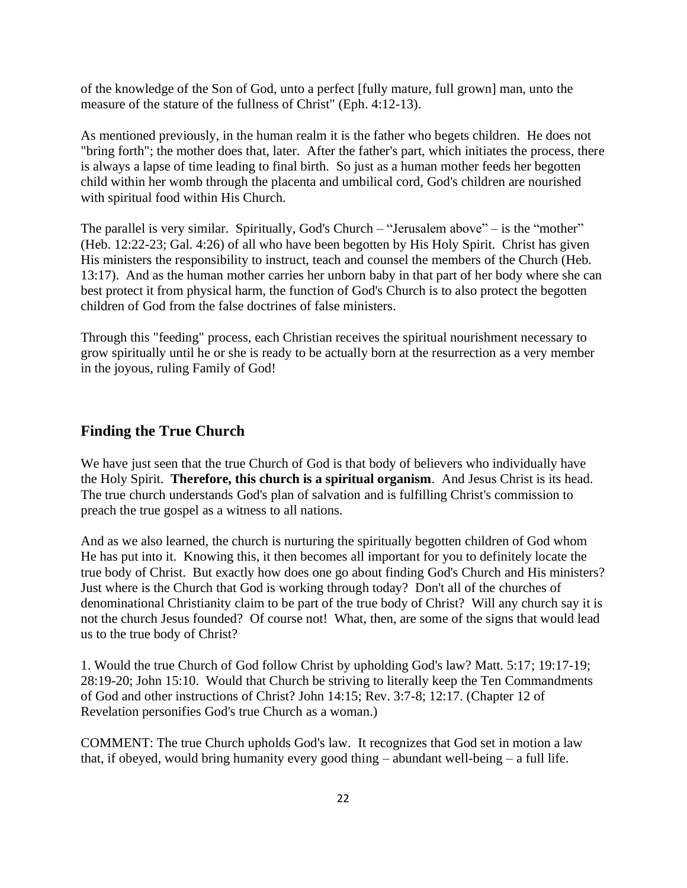of the knowledge of the Son of God, unto a perfect [fully mature, full grown] man, unto the measure of the stature of the fullness of Christ" (Eph. 4:12-13).

As mentioned previously, in the human realm it is the father who begets children. He does not "bring forth"; the mother does that, later. After the father's part, which initiates the process, there is always a lapse of time leading to final birth. So just as a human mother feeds her begotten child within her womb through the placenta and umbilical cord, God's children are nourished with spiritual food within His Church.

The parallel is very similar. Spiritually, God's Church – "Jerusalem above" – is the "mother" (Heb. 12:22-23; Gal. 4:26) of all who have been begotten by His Holy Spirit. Christ has given His ministers the responsibility to instruct, teach and counsel the members of the Church (Heb. 13:17). And as the human mother carries her unborn baby in that part of her body where she can best protect it from physical harm, the function of God's Church is to also protect the begotten children of God from the false doctrines of false ministers.

Through this "feeding" process, each Christian receives the spiritual nourishment necessary to grow spiritually until he or she is ready to be actually born at the resurrection as a very member in the joyous, ruling Family of God!

#### **Finding the True Church**

We have just seen that the true Church of God is that body of believers who individually have the Holy Spirit. **Therefore, this church is a spiritual organism**. And Jesus Christ is its head. The true church understands God's plan of salvation and is fulfilling Christ's commission to preach the true gospel as a witness to all nations.

And as we also learned, the church is nurturing the spiritually begotten children of God whom He has put into it. Knowing this, it then becomes all important for you to definitely locate the true body of Christ. But exactly how does one go about finding God's Church and His ministers? Just where is the Church that God is working through today? Don't all of the churches of denominational Christianity claim to be part of the true body of Christ? Will any church say it is not the church Jesus founded? Of course not! What, then, are some of the signs that would lead us to the true body of Christ?

1. Would the true Church of God follow Christ by upholding God's law? Matt. 5:17; 19:17-19; 28:19-20; John 15:10. Would that Church be striving to literally keep the Ten Commandments of God and other instructions of Christ? John 14:15; Rev. 3:7-8; 12:17. (Chapter 12 of Revelation personifies God's true Church as a woman.)

COMMENT: The true Church upholds God's law. It recognizes that God set in motion a law that, if obeyed, would bring humanity every good thing  $-$  abundant well-being  $-$  a full life.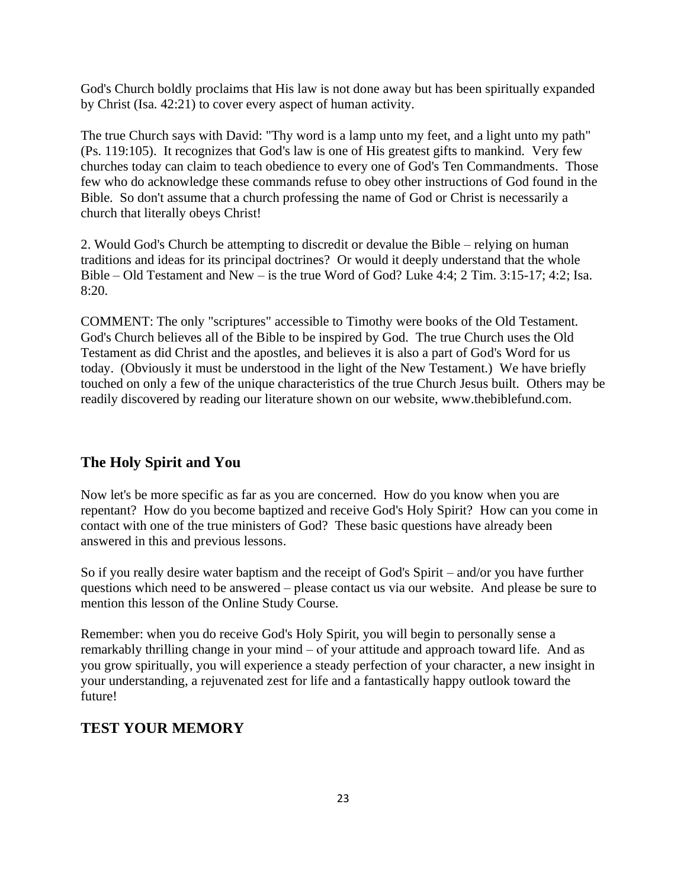God's Church boldly proclaims that His law is not done away but has been spiritually expanded by Christ (Isa. 42:21) to cover every aspect of human activity.

The true Church says with David: "Thy word is a lamp unto my feet, and a light unto my path" (Ps. 119:105). It recognizes that God's law is one of His greatest gifts to mankind. Very few churches today can claim to teach obedience to every one of God's Ten Commandments. Those few who do acknowledge these commands refuse to obey other instructions of God found in the Bible. So don't assume that a church professing the name of God or Christ is necessarily a church that literally obeys Christ!

2. Would God's Church be attempting to discredit or devalue the Bible – relying on human traditions and ideas for its principal doctrines? Or would it deeply understand that the whole Bible – Old Testament and New – is the true Word of God? Luke 4:4; 2 Tim.  $3:15-17$ ;  $4:2$ ; Isa. 8:20.

COMMENT: The only "scriptures" accessible to Timothy were books of the Old Testament. God's Church believes all of the Bible to be inspired by God. The true Church uses the Old Testament as did Christ and the apostles, and believes it is also a part of God's Word for us today. (Obviously it must be understood in the light of the New Testament.) We have briefly touched on only a few of the unique characteristics of the true Church Jesus built. Others may be readily discovered by reading our literature shown on our website, www.thebiblefund.com.

#### **The Holy Spirit and You**

Now let's be more specific as far as you are concerned. How do you know when you are repentant? How do you become baptized and receive God's Holy Spirit? How can you come in contact with one of the true ministers of God? These basic questions have already been answered in this and previous lessons.

So if you really desire water baptism and the receipt of God's Spirit – and/or you have further questions which need to be answered – please contact us via our website. And please be sure to mention this lesson of the Online Study Course.

Remember: when you do receive God's Holy Spirit, you will begin to personally sense a remarkably thrilling change in your mind – of your attitude and approach toward life. And as you grow spiritually, you will experience a steady perfection of your character, a new insight in your understanding, a rejuvenated zest for life and a fantastically happy outlook toward the future!

# **TEST YOUR MEMORY**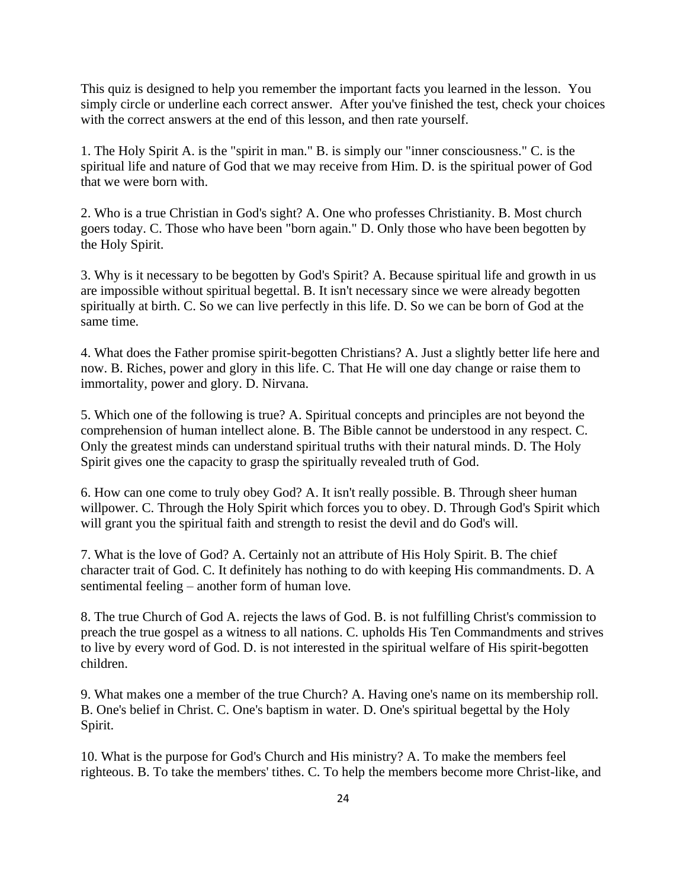This quiz is designed to help you remember the important facts you learned in the lesson. You simply circle or underline each correct answer. After you've finished the test, check your choices with the correct answers at the end of this lesson, and then rate yourself.

1. The Holy Spirit A. is the "spirit in man." B. is simply our "inner consciousness." C. is the spiritual life and nature of God that we may receive from Him. D. is the spiritual power of God that we were born with.

2. Who is a true Christian in God's sight? A. One who professes Christianity. B. Most church goers today. C. Those who have been "born again." D. Only those who have been begotten by the Holy Spirit.

3. Why is it necessary to be begotten by God's Spirit? A. Because spiritual life and growth in us are impossible without spiritual begettal. B. It isn't necessary since we were already begotten spiritually at birth. C. So we can live perfectly in this life. D. So we can be born of God at the same time.

4. What does the Father promise spirit-begotten Christians? A. Just a slightly better life here and now. B. Riches, power and glory in this life. C. That He will one day change or raise them to immortality, power and glory. D. Nirvana.

5. Which one of the following is true? A. Spiritual concepts and principles are not beyond the comprehension of human intellect alone. B. The Bible cannot be understood in any respect. C. Only the greatest minds can understand spiritual truths with their natural minds. D. The Holy Spirit gives one the capacity to grasp the spiritually revealed truth of God.

6. How can one come to truly obey God? A. It isn't really possible. B. Through sheer human willpower. C. Through the Holy Spirit which forces you to obey. D. Through God's Spirit which will grant you the spiritual faith and strength to resist the devil and do God's will.

7. What is the love of God? A. Certainly not an attribute of His Holy Spirit. B. The chief character trait of God. C. It definitely has nothing to do with keeping His commandments. D. A sentimental feeling – another form of human love.

8. The true Church of God A. rejects the laws of God. B. is not fulfilling Christ's commission to preach the true gospel as a witness to all nations. C. upholds His Ten Commandments and strives to live by every word of God. D. is not interested in the spiritual welfare of His spirit-begotten children.

9. What makes one a member of the true Church? A. Having one's name on its membership roll. B. One's belief in Christ. C. One's baptism in water. D. One's spiritual begettal by the Holy Spirit.

10. What is the purpose for God's Church and His ministry? A. To make the members feel righteous. B. To take the members' tithes. C. To help the members become more Christ-like, and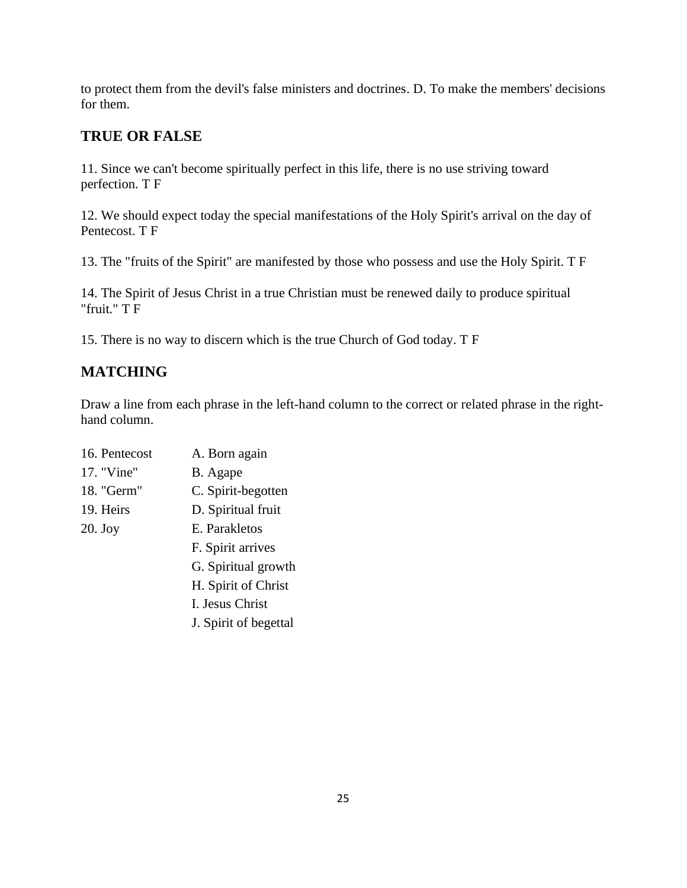to protect them from the devil's false ministers and doctrines. D. To make the members' decisions for them.

# **TRUE OR FALSE**

11. Since we can't become spiritually perfect in this life, there is no use striving toward perfection. T F

12. We should expect today the special manifestations of the Holy Spirit's arrival on the day of Pentecost. T F

13. The "fruits of the Spirit" are manifested by those who possess and use the Holy Spirit. T F

14. The Spirit of Jesus Christ in a true Christian must be renewed daily to produce spiritual "fruit." T F

15. There is no way to discern which is the true Church of God today. T F

# **MATCHING**

Draw a line from each phrase in the left-hand column to the correct or related phrase in the righthand column.

| 16. Pentecost | A. Born again         |  |  |
|---------------|-----------------------|--|--|
| 17. "Vine"    | B. Agape              |  |  |
| 18. "Germ"    | C. Spirit-begotten    |  |  |
| 19. Heirs     | D. Spiritual fruit    |  |  |
| $20.$ Joy     | E. Parakletos         |  |  |
|               | F. Spirit arrives     |  |  |
|               | G. Spiritual growth   |  |  |
|               | H. Spirit of Christ   |  |  |
|               | I. Jesus Christ       |  |  |
|               | J. Spirit of begettal |  |  |
|               |                       |  |  |